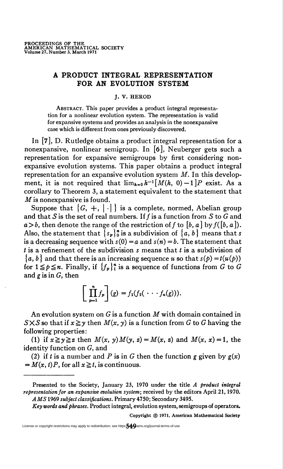# A PRODUCT INTEGRAL REPRESENTATION FOR AN EVOLUTION SYSTEM

## J. V. HEROD

Abstract. This paper provides a product integral representation for a nonlinear evolution system. The representation is valid for expansive systems and provides an analysis in the nonexpansive case which is different from ones previously discovered.

In [7], D. Rutledge obtains a product integral representation for a nonexpansive, nonlinear semigroup. In [ó], Neuberger gets such a representation for expansive semigroups by first considering nonexpansive evolution systems. This paper obtains a product integral representation for an expansive evolution system  $M$ . In this development, it is not required that  $\lim_{h\to 0} h^{-1}[M(h, 0)-1]P$  exist. As a corollary to Theorem 3, a statement equivalent to the statement that M is nonexpansive is found.

Suppose that  $\{G, +, | \cdot | \}$  is a complete, normed, Abelian group and that S is the set of real numbers. If  $f$  is a function from S to G and  $a > b$ , then denote the range of the restriction of f to [b, a] by  $f([b, a])$ . Also, the statement that  $\{s_p\}^n_0$  is a subdivision of  $\{a, b\}$  means that s is a decreasing sequence with  $s(0) = a$  and  $s(n) = b$ . The statement that t is a refinement of the subdivision s means that  $t$  is a subdivision of  $\{a, b\}$  and that there is an increasing sequence u so that  $s(p) = t(u(p))$ for  $1 \le p \le n$ . Finally, if  ${f_p}^n$  is a sequence of functions from G to G and  $g$  is in  $G$ , then

$$
\left[\prod_{p=1}^n f_p\right](g) = f_1(f_2(\ \cdot \cdot \cdot f_n(g))).
$$

An evolution system on  $G$  is a function  $M$  with domain contained in  $S \times S$  so that if  $x \geq y$  then  $M(x, y)$  is a function from G to G having the following properties:

(1) if  $x \ge y \ge z$  then  $M(x, y)M(y, z) = M(x, z)$  and  $M(x, x) = 1$ , the identity function on G, and

(2) if *t* is a number and *P* is in *G* then the function *g* given by  $g(x)$  $= M(x, t)P$ , for all  $x \ge t$ , is continuous.

Key words and phrases. Product integral, evolution system, semigroups of operators.

Copyright © 1971. American Mathematical Society

License or copyright restrictions may apply to redistribution; see https: $\sqrt[4]{4}$  ams.org/journal-terms-of-use

Presented to the Society, January 23, 1970 under the title A product integral representation for an expansive evolution system; received by the editors April 21,1970. A MS 1969 subject classifications. Primary 4750; Secondary 3495.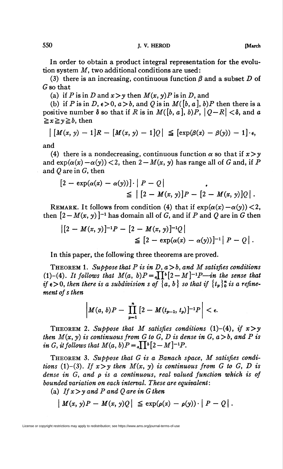In order to obtain a product integral representation for the evolution system  $M$ , two additional conditions are used:

(3) there is an increasing, continuous function  $\beta$  and a subset D of G so that

(a) if P is in D and  $x > y$  then  $M(x, y)P$  is in D, and

(b) if P is in D,  $\epsilon > 0$ ,  $a > b$ , and Q is in  $M([b, a], b)P$  then there is a positive number  $\delta$  so that if R is in  $M([b, a], b)P$ ,  $|Q - R| < \delta$ , and a  $\ge x \ge y \ge b$ , then

$$
\left| \left[ M(x, y) - 1 \right] R - \left[ M(x, y) - 1 \right] Q \right| \leq \left[ \exp(\beta(x) - \beta(y)) - 1 \right] \cdot \epsilon,
$$

and

(4) there is a nondecreasing, continuous function  $\alpha$  so that if  $x > y$ and  $\exp(\alpha(x) - \alpha(y)) < 2$ , then  $2 - M(x, y)$  has range all of G and, if P and  $Q$  are in  $G$ , then

$$
[2-\exp(\alpha(x)-\alpha(y))] \cdot |P-Q|
$$
  
\n
$$
\leq |[2-M(x, y)]P-[2-M(x, y)]Q|.
$$

REMARK. It follows from condition (4) that if  $exp(\alpha(x) - \alpha(y)) < 2$ , then  $[2-M(x, y)]^{-1}$  has domain all of G, and if P and Q are in G then

$$
\begin{aligned} \left| [2 - M(x, y)]^{-1} P - [2 - M(x, y)]^{-1} Q \right| &\leq [2 - \exp(\alpha(x) - \alpha(y))]^{-1} | P - Q | \, . \end{aligned}
$$

In this paper, the following three theorems are proved.

THEOREM 1. Suppose that P is in D,  $a > b$ , and M satisfies conditions (1)-(4). It follows that  $M(a, b)P = a\prod b[2-M]^{-1}P$ —in the sense that if  $\epsilon > 0$ , then there is a subdivision s of  $\{a, b\}$  so that if  $\{t_n\}_0^n$  is a refinement of s then

$$
\left|M(a, b)P - \prod_{p=1}^{n} [2 - M(t_{p-1}, t_p)]^{-1}P\right| < \epsilon.
$$

THEOREM 2. Suppose that M satisfies conditions (1)–(4), if  $x>y$ then  $M(x, y)$  is continuous from G to G, D is dense in G,  $a > b$ , and P is in G, it follows that  $M(a, b)P = \prod_{a} \prod_{b} [2-M]^{-1}P$ .

Theorem 3. Suppose that G is a Banach space, M satisfies conditions (1)-(3). If  $x>y$  then  $M(x, y)$  is continuous from G to G, D is dense in  $G$ , and  $\rho$  is a continuous, real valued function which is of bounded variation on each interval. These are equivalent:

(a) If  $x > y$  and P and Q are in G then

$$
\left| M(x, y)P - M(x, y)Q \right| \leq \exp(\rho(x) - \rho(y)) \cdot \left| P - Q \right|.
$$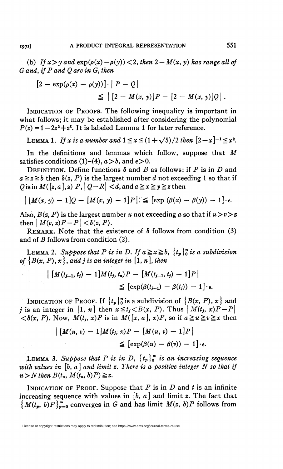(b) If  $x > y$  and  $exp(\rho(x) - \rho(y)) < 2$ , then  $2 - M(x, y)$  has range all of G and, if P and Q are in G, then

$$
[2 - \exp(\rho(x) - \rho(y))] \cdot |P - Q|
$$
  
\n
$$
\leq |[2 - M(x, y)]P - [2 - M(x, y)]Q|.
$$

INDICATION OF PROOFS. The following inequality is important in what follows; it may be established after considering the polynomial  $P(z) = 1-2z^2+z^3$ . It is labeled Lemma 1 for later reference.

LEMMA 1. If x is a number and  $1 \le x \le (1 + \sqrt{5})/2$  then  $[2-x]^{-1} \le x^2$ .

In the definitions and lemmas which follow, suppose that M satisfies conditions  $(1)-(4)$ ,  $a > b$ , and  $\epsilon > 0$ .

DEFINITION. Define functions  $\delta$  and B as follows: if P is in D and  $a \geq z \geq b$  then  $\delta(z, P)$  is the largest number d not exceeding 1 so that if Qisin  $M([z,a],z)$   $P$ ,  $|Q-R| < d$ , and  $a \ge x \ge y \ge z$  then

 $\left| \int M(x, y) - 1 \right| Q - \left[ M(x, y) - 1 \right] P \right| \le \left[ \exp (\beta(x) - \beta(y)) - 1 \right] \cdot \epsilon.$ 

Also,  $B(z, P)$  is the largest number u not exceeding a so that if  $u > v > z$ then  $|M(v, z)P-P| < \delta(z, P)$ .

REMARK. Note that the existence of  $\delta$  follows from condition (3) and of B follows from condition (2).

LEMMA 2. Suppose that P is in D. If  $a \ge x \ge b$ ,  $\{t_p\}_{0}^{n}$  is a subdivision of  $\{B(x, P), x\}$ , and j is an integer in [1, n], then

$$
\left| \left[ M(t_{j-1}, t_j) - 1 \right] M(t_j, t_n) P - \left[ M(t_{j-1}, t_j) - 1 \right] P \right|
$$
  

$$
\leq \left[ \exp(\beta(t_{j-1}) - \beta(t_j)) - 1 \right] \cdot \epsilon.
$$

INDICATION OF PROOF. If  $\{t_p\}_0^n$  is a subdivision of  $\{B(x, P), x\}$  and j is an integer in [1, n] then  $x \le t_j < B(x, P)$ . Thus  $\left|M(t_j, x)P - P\right|$  $\langle \delta(x, P) \rangle$ . Now,  $M(t_i, x)P$  is in  $M([x, a], x)P$ , so if  $a \ge x \ge x$  then

$$
\left| \left[ M(u, v) - 1 \right] M(t_j, x) P - \left[ M(u, v) - 1 \right] P \right|
$$
  

$$
\leq \left[ \exp(\beta(u) - \beta(v)) - 1 \right] \cdot \epsilon.
$$

LEMMA 3. Suppose that P is in D,  $\{t_p\}_0^\infty$  is an increasing sequence with values in  $[b, a]$  and limit z. There is a positive integer N so that if  $n > N$  then  $B(t_n, M(t_n, b)P) \geq z$ .

INDICATION OF PROOF. Suppose that  $P$  is in  $D$  and  $t$  is an infinite increasing sequence with values in  $[b, a]$  and limit z. The fact that  $\{M(t_p, b)P\}_{p=0}^{\infty}$  converges in G and has limit  $M(z, b)P$  follows from

License or copyright restrictions may apply to redistribution; see https://www.ams.org/journal-terms-of-use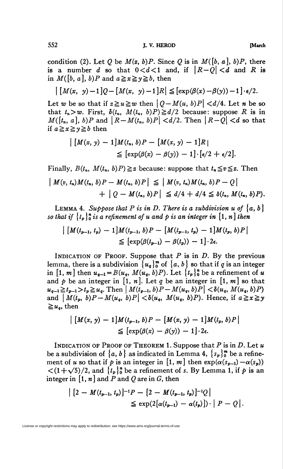condition (2). Let Q be  $M(z, b)P$ . Since Q is in  $M([b, a], b)P$ , there is a number d so that  $0 < d < 1$  and, if  $|R - Q| < d$  and R is in  $M([b, a], b)P$  and  $a \ge x \ge y \ge b$ , then

$$
\left| \left[ M(x, y)-1 \right] Q - \left[ M(x, y)-1 \right] R \right| \leq \left[ \exp(\beta(x)-\beta(y)) - 1 \right] \cdot \epsilon/2.
$$

Let w be so that if  $z \ge u \ge w$  then  $| Q - M(u, b)P| < d/4$ . Let n be so that  $t_n > w$ . First,  $\delta(t_n, M(t_n, b)P) \geq d/2$  because: suppose R is in  $M([t_n, a], b)P$  and  $\|R-M(t_n, b)P\| \le d/2$ . Then  $\|R-Q\| \le d$  so that if  $a \ge x \ge y \ge b$  then

$$
\begin{aligned} \left| \left[ M(x, y) - 1 \right] M(t_n, b) P - \left[ M(x, y) - 1 \right] R \right| \\ &\leq \left[ \exp(\beta(x) - \beta(y)) - 1 \right] \cdot \left[ \epsilon/2 + \epsilon/2 \right]. \end{aligned}
$$

Finally,  $B(t_n, M(t_n, b)P) \geq z$  because: suppose that  $t_n \leq v \leq z$ . Then  $\left| M(v, t_n) M(t_n, b) P - M(t_n, b) P \right| \leq \left| M(v, t_n) M(t_n, b) P - Q \right|$  $+ | O - M(t_n, b)P| \leq d/4 + d/4 \leq \delta(t_n, M(t_n, b)P).$ 

LEMMA 4. Suppose that P is in D. There is a subdivision u of  $\{a, b\}$ so that if  $\{t_p\}_{p=0}^n$  is a refinement of u and p is an integer in  $[1, n]$  then

$$
\left| \left[ M(t_{p-1}, t_p) - 1 \right] M(t_{p-1}, b) P - \left[ M(t_{p-1}, t_p) - 1 \right] M(t_p, b) P \right|
$$
  
\n
$$
\leq \left[ \exp(\beta(t_{p-1}) - \beta(t_p)) - 1 \right] \cdot 2\epsilon.
$$

INDICATION OF PROOF. Suppose that  $P$  is in  $D$ . By the previous lemma, there is a subdivision  $\{u_q\}_{q=0}^{\infty}$  of  $\{a, b\}$  so that if q is an integer in [1, *m*] then  $u_{q-1} = B(u_q, M(u_q, b)P)$ . Let  $\{t_p\}_0^n$  be a refinement of u and p be an integer in [1, n]. Let q be an integer in [1, m] so that  $u_{q-1} \ge t_{p-1} > t_p \ge u_q$ . Then  $|M(t_{p-1}, b)P - M(u_q, b)P| < \delta(u_q, M(u_q, b)P)$ and  $|M(t_p, b)P-M(u_q, b)P| < \delta(u_q, M(u_q, b)P)$ . Hence, if  $a \ge x \ge y$  $\geq u_{\alpha}$ , then

$$
\left| \left[ M(x, y) - 1 \right] M(t_{p-1}, b) P - \left[ M(x, y) - 1 \right] M(t_p, b) P \right|
$$
  
\n
$$
\leq \left[ \exp(\beta(x) - \beta(y)) - 1 \right] \cdot 2\epsilon.
$$

INDICATION OF PROOF OF THEOREM 1. Suppose that  $P$  is in  $D$ . Let  $u$ be a subdivision of  $\{a, b\}$  as indicated in Lemma 4,  $\{s_n\}_{n=0}^{\infty}$  be a refinement of u so that if p is an integer in [1, m] then  $exp(\alpha(s_{p-1}) - \alpha(s_p))$  $\langle (1+\sqrt{5})/2, \text{ and } \{t_p\}_0^n$  be a refinement of s. By Lemma 1, if p is an integer in  $\lceil 1, n \rceil$  and P and Q are in G, then

$$
\begin{aligned} \left| \left[ 2 - M(t_{p-1}, t_p) \right]^{-1} P - \left[ 2 - M(t_{p-1}, t_p) \right]^{-1} Q \right| \\ &\leq \exp(2\big[ \alpha(t_{p-1}) - \alpha(t_p) \big] \big) \cdot \big| P - Q \big| . \end{aligned}
$$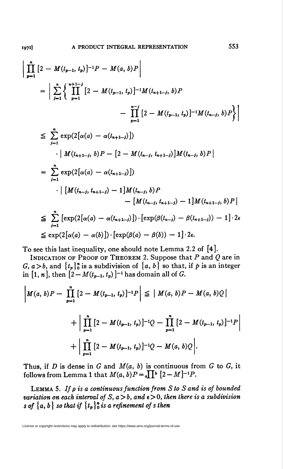$$
\left| \prod_{p=1}^{n} \left[ 2 - M(t_{p-1}, t_p) \right]^{-1} P - M(a, b) P \right|
$$
\n
$$
= \left| \sum_{j=1}^{n} \left\{ \prod_{p=1}^{n+1-j} \left[ 2 - M(t_{p-1}, t_p) \right]^{-1} M(t_{n+1-j}, b) P \right. \right.
$$
\n
$$
- \prod_{p=1}^{n-j} \left[ 2 - M(t_{p-1}, t_p) \right]^{-1} M(t_{n-j}, b) P \right\} \right|
$$
\n
$$
\leq \sum_{j=1}^{n} \exp(2[\alpha(a) - \alpha(t_{n+1-j})])
$$
\n
$$
\cdot | M(t_{n+1-j}, b) P - [2 - M(t_{n-j}, t_{n+1-j})] M(t_{n-j}, b) P |
$$
\n
$$
= \sum_{j=1}^{n} \exp(2[\alpha(a) - \alpha(t_{n+1-j})])
$$
\n
$$
\cdot | [M(t_{n-j}, t_{n+1-j}) - 1] M(t_{n-j}, b) P - [M(t_{n-j}, t_{n+1-j}) - 1] M(t_{n+1-j}, b) P |
$$
\n
$$
\leq \sum_{j=1}^{n} [\exp(2[\alpha(a) - \alpha(t_{n+1-j})]) \cdot [\exp(\beta(t_{n-j}) - \beta(t_{n+1-j})) - 1] \cdot 2\epsilon
$$
\n
$$
\leq \exp(2[\alpha(a) - \alpha(b)]) \cdot [\exp(\beta(a) - \beta(b)) - 1] \cdot 2\epsilon.
$$

To see this last inequality, one should note Lemma 2.2 of [4].

INDICATION OF PROOF OF THEOREM 2. Suppose that  $P$  and  $Q$  are in  $G, a > b$ , and  ${t_p}_{0}^{n}$  is a subdivision of  ${a, b}$  so that, if p is an integerin [1, *n*], then  $[2 - M(t_{p-1}, t_p)]^{-1}$  has domain all of *G*.

$$
\left| M(a, b)P - \prod_{p=1}^{n} \left[ 2 - M(t_{p-1}, t_p) \right]^{-1} P \right| \leq \left| M(a, b)P - M(a, b)Q \right|
$$
  
+ 
$$
\left| \prod_{p=1}^{n} \left[ 2 - M(t_{p-1}, t_p) \right]^{-1} Q - \prod_{p=1}^{n} \left[ 2 - M(t_{p-1}, t_p) \right]^{-1} P \right|
$$
  
+ 
$$
\left| \prod_{p=1}^{n} \left[ 2 - M(t_{p-1}, t_p) \right]^{-1} Q - M(a, b)Q \right|.
$$

Thus, if D is dense in G and  $M(a, b)$  is continuous from G to G, it follows from Lemma 1 that  $M(a, b)P = a \prod^b [2 - M]^{-1}P$ .

LEMMA 5. If  $\rho$  is a continuous function from S to S and is of bounded variation on each interval of S,  $a > b$ , and  $\epsilon > 0$ , then there is a subdivision s of  ${a, b}$  so that if  ${t_p}^n$  is a refinement of s then

License or copyright restrictions may apply to redistribution; see https://www.ams.org/journal-terms-of-use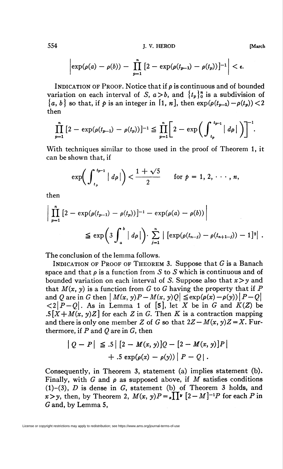554 J. V. HEROD [March

$$
\left|\exp(\rho(a)-\rho(b))-\prod_{p=1}^n\left[2-\exp(\rho(t_{p-1})-\rho(t_p))\right]-1\right|<\epsilon.
$$

INDICATION OF PROOF. Notice that if  $\rho$  is continuous and of bounded variation on each interval of S,  $a > b$ , and  $\{t_p\}_0^n$  is a subdivision of  ${a, b}$  so that, if  $p$  is an integer in [1, n], then  $exp(\rho(t_{n-1}) - \rho(t_n)) < 2$ then

$$
\prod_{p=1}^{n} \left[2 - \exp(\rho(t_{p-1}) - \rho(t_p))\right]^{-1} \leq \prod_{p=1}^{n} \left[2 - \exp\left(\int_{t_p}^{t_{p-1}} |d\rho| \right)\right]^{-1}.
$$

With techniques similar to those used in the proof of Theorem 1, it can be shown that, if

$$
\exp\biggl(\int_{t_p}^{t_{p-1}}\big|\,d\rho\,\big|\biggr)<\frac{1+\sqrt{5}}{2}\qquad\text{for }\rho=1,\,2,\,\cdots,\,n,
$$

then

$$
\left| \prod_{p=1}^{n} \left[ 2 - \exp(\rho(t_{p-1}) - \rho(t_p)) \right]^{-1} - \exp(\rho(a) - \rho(b)) \right|
$$
  

$$
\leq \exp\left( 3 \int_{a}^{b} | d\rho | \right) \cdot \sum_{j=1}^{n} | \left[ \exp(\rho(t_{n-j}) - \rho(t_{n+1-j})) - 1 \right]^{2} |.
$$

The conclusion of the lemma follows.

INDICATION OF PROOF OF THEOREM 3. Suppose that  $G$  is a Banach space and that  $\rho$  is a function from S to S which is continuous and of bounded variation on each interval of S. Suppose also that  $x > y$  and that  $M(x, y)$  is a function from G to G having the property that if P and Q are in G then  $\left|M(x, y)P - M(x, y)Q\right| \leq \exp(\rho(x)-\rho(y))\left|P - Q\right|$  $\langle 2|P-Q|$ . As in Lemma 1 of [5], let X be in G and  $K(Z)$  be .5[ $X+M(x, y)Z$ ] for each Z in G. Then K is a contraction mapping and there is only one member Z of G so that  $2Z - M(x, y)Z = X$ . Furthermore, if  $P$  and  $Q$  are in  $G$ , then

$$
\begin{aligned} \left| Q - P \right| &\leq .5 \left| \left[ 2 - M(x, y) \right] Q - \left[ 2 - M(x, y) \right] P \right| \\ &+ .5 \exp(\rho(x) - \rho(y)) \left| P - Q \right| . \end{aligned}
$$

Consequently, in Theorem 3, statement (a) implies statement (b). Finally, with G and  $\rho$  as supposed above, if M satisfies conditions  $(1)-(3)$ , *D* is dense in *G*, statement (b) of Theorem 3 holds, and x>y, then, by Theorem 2,  $M(x, y)P = x\prod^{\nu} [2-M]^{-1}P$  for each P in G and, by Lemma 5,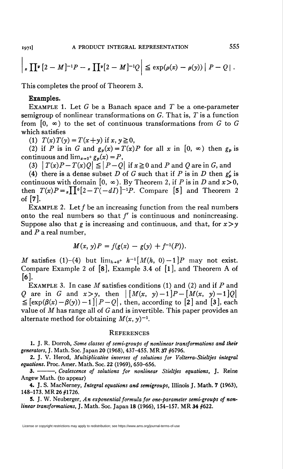$\mathbf{I}$ 

$$
\left| \, \boldsymbol{\cdot} \, \prod^{\boldsymbol{\nu}} \left[ 2-M \right]^{-1} P - \boldsymbol{\cdot} \, \prod^{\boldsymbol{\nu}} \left[ 2-M \right]^{-1} Q \right| \leq \exp(\rho(x)-\rho(y)) \left| \, P - Q \right|.
$$

This completes the proof of Theorem 3.

## Examples.

EXAMPLE 1. Let  $G$  be a Banach space and  $T$  be a one-parameter semigroup of nonlinear transformations on  $G$ . That is,  $T$  is a function from  $[0, \infty)$  to the set of continuous transformations from G to G which satisfies

(1)  $T(x) T(y) = T(x+y)$  if x,  $y \ge 0$ ,

(2) if P is in G and  $g_p(x) = T(x)P$  for all x in  $[0, \infty)$  then  $g_p$  is continuous and  $\lim_{x\to 0^+} g_p(x) = P$ ,

(3)  $|T(x)P-T(x)Q| \leq |P-Q|$  if  $x \geq 0$  and P and Q are in G, and

(4) there is a dense subset D of G such that if P is in D then  $g'_p$  is continuous with domain  $[0, \infty)$ . By Theorem 2, if P is in D and  $x>0$ , then  $T(x)P = \mathbf{I} \prod_{i=0}^{n} [2-T(-dI)]^{-1}P$ . Compare [5] and Theorem 2 of [7].

EXAMPLE 2. Let  $f$  be an increasing function from the real numbers onto the real numbers so that  $f'$  is continuous and nonincreasing. Suppose also that g is increasing and continuous, and that, for  $x \geq y$ and  $P$  a real number,

$$
M(x, y)P = f(g(x) - g(y) + f^{-1}(P)).
$$

M satisfies (1)-(4) but  $\lim_{h\to 0^+} h^{-1}[M(h, 0) - 1]P$  may not exist. Compare Example 2 of  $[8]$ , Example 3.4 of  $[1]$ , and Theorem A of  $[6]$ .

EXAMPLE 3. In case M satisfies conditions (1) and (2) and if P and Q are in G and  $x > y$ , then  $\left| \begin{array}{cc} [M(x, y) - 1]P - [M(x, y) - 1]Q \end{array} \right|$  $\leq$  [exp( $\beta(x)-\beta(y)\right)=1\|P-Q\|$ , then, according to [2] and [3], each value of  $M$  has range all of  $G$  and is invertible. This paper provides an alternate method for obtaining  $M(x, y)^{-1}$ .

#### **REFERENCES**

1. J. R. Dorroh, Some classes of semi-groups of nonlinear transformations and their generators, J. Math. Soc. Japan 20 (1968), 437-455. MR 37 #6796.

2. J. V. Herod, Multiplicative inverses of solutions for Volterra-Stieltjes integral equations. Proc. Amer. Math. Soc. 22 (1969), 650-656.

3. - Coalescence of solutions for nonlinear Stieltjes equations, J. Reine Angew Math, (to appear)

4. J. S. MacNerney, Integral equations and semigroups, Illinois J. Math. 7 (1963), 148-173. MR 26 #1726.

5. J. W. Neuberger, An exponential formula for one-parameter semi-groups of nonlinear transformations, J. Math. Soc. Japan 18 (1966), 154-157. MR 34 #622.